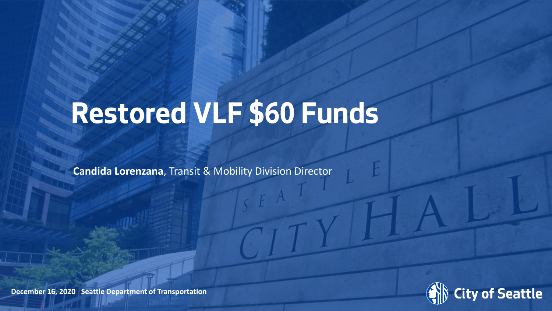# **Restored VLF \$60 Funds**

**Candida Lorenzana**, Transit & Mobility Division Director



**December 16, 2020 Seattle Department of Transportation**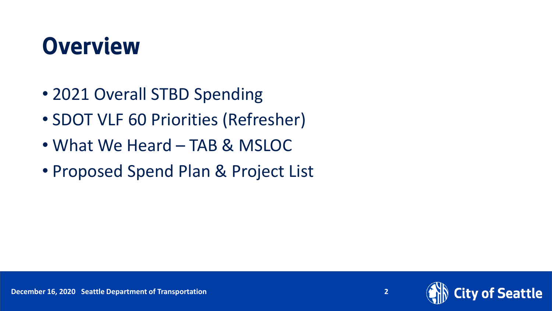#### **Overview**

- 2021 Overall STBD Spending
- SDOT VLF 60 Priorities (Refresher)
- What We Heard TAB & MSLOC
- Proposed Spend Plan & Project List

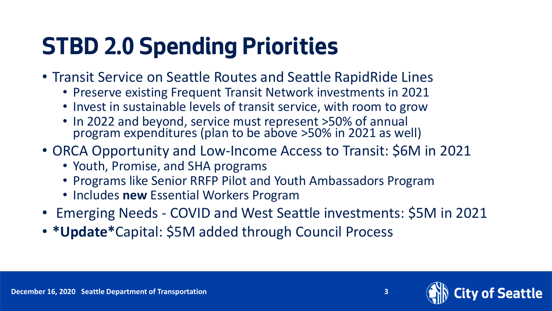## **STBD 2.0 Spending Priorities**

- Transit Service on Seattle Routes and Seattle RapidRide Lines
	- Preserve existing Frequent Transit Network investments in 2021
	- Invest in sustainable levels of transit service, with room to grow
	- In 2022 and beyond, service must represent >50% of annual program expenditures (plan to be above >50% in 2021 as well)
- ORCA Opportunity and Low-Income Access to Transit: \$6M in 2021
	- Youth, Promise, and SHA programs
	- Programs like Senior RRFP Pilot and Youth Ambassadors Program
	- Includes **new** Essential Workers Program
- Emerging Needs COVID and West Seattle investments: \$5M in 2021
- **\*Update\***Capital: \$5M added through Council Process



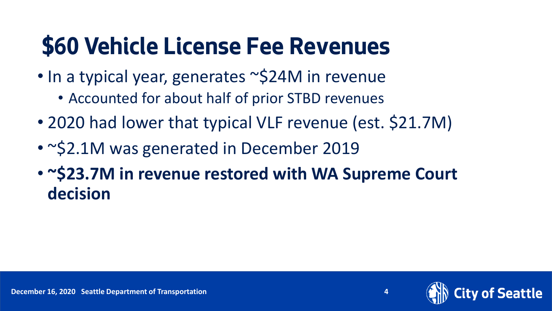## **\$60 Vehicle License Fee Revenues**

- In a typical year, generates ~\$24M in revenue
	- Accounted for about half of prior STBD revenues
- 2020 had lower that typical VLF revenue (est. \$21.7M)
- ~\$2.1M was generated in December 2019
- **~\$23.7M in revenue restored with WA Supreme Court decision**

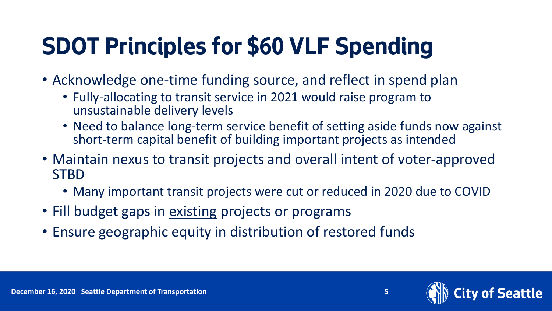## **SDOT Principles for \$60 VLF Spending**

- Acknowledge one-time funding source, and reflect in spend plan
	- Fully-allocating to transit service in 2021 would raise program to unsustainable delivery levels
	- Need to balance long-term service benefit of setting aside funds now against short-term capital benefit of building important projects as intended
- Maintain nexus to transit projects and overall intent of voter-approved **STBD** 
	- Many important transit projects were cut or reduced in 2020 due to COVID
- Fill budget gaps in existing projects or programs
- Ensure geographic equity in distribution of restored funds



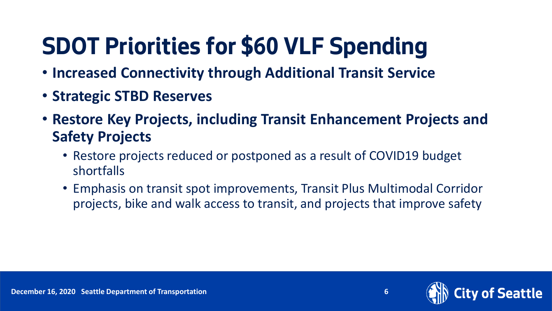## **SDOT Priorities for \$60 VLF Spending**

- **Increased Connectivity through Additional Transit Service**
- **Strategic STBD Reserves**
- **Restore Key Projects, including Transit Enhancement Projects and Safety Projects**
	- Restore projects reduced or postponed as a result of COVID19 budget shortfalls
	- Emphasis on transit spot improvements, Transit Plus Multimodal Corridor projects, bike and walk access to transit, and projects that improve safety

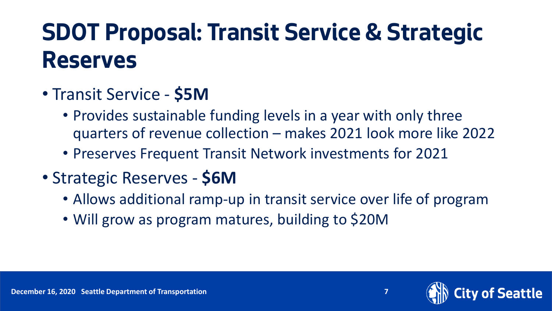#### **SDOT Proposal: Transit Service & Strategic Reserves**

- Transit Service **\$5M**
	- Provides sustainable funding levels in a year with only three quarters of revenue collection – makes 2021 look more like 2022
	- Preserves Frequent Transit Network investments for 2021
- Strategic Reserves **\$6M**
	- Allows additional ramp-up in transit service over life of program
	- Will grow as program matures, building to \$20M



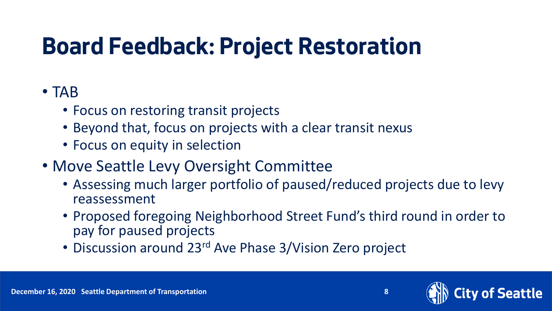### **Board Feedback: Project Restoration**

#### • TAB

- Focus on restoring transit projects
- Beyond that, focus on projects with a clear transit nexus
- Focus on equity in selection
- Move Seattle Levy Oversight Committee
	- Assessing much larger portfolio of paused/reduced projects due to levy reassessment
	- Proposed foregoing Neighborhood Street Fund's third round in order to pay for paused projects
	- Discussion around 23<sup>rd</sup> Ave Phase 3/Vision Zero project

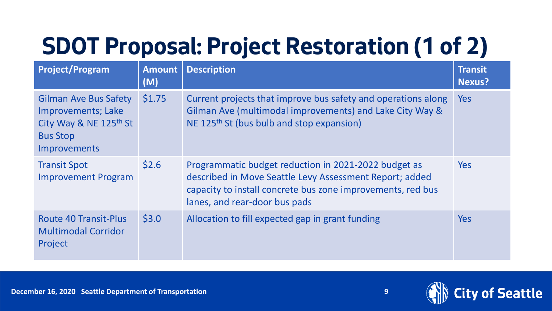## **SDOT Proposal: Project Restoration (1 of 2)**

| <b>Project/Program</b>                                                                                                 | <b>Amount</b><br>(M) | <b>Description</b>                                                                                                                                                                                              | <b>Transit</b><br><b>Nexus?</b> |
|------------------------------------------------------------------------------------------------------------------------|----------------------|-----------------------------------------------------------------------------------------------------------------------------------------------------------------------------------------------------------------|---------------------------------|
| <b>Gilman Ave Bus Safety</b><br><b>Improvements; Lake</b><br>City Way & NE 125th St<br><b>Bus Stop</b><br>Improvements | \$1.75               | Current projects that improve bus safety and operations along<br>Gilman Ave (multimodal improvements) and Lake City Way &<br>NE 125 <sup>th</sup> St (bus bulb and stop expansion)                              | <b>Yes</b>                      |
| <b>Transit Spot</b><br><b>Improvement Program</b>                                                                      | \$2.6                | Programmatic budget reduction in 2021-2022 budget as<br>described in Move Seattle Levy Assessment Report; added<br>capacity to install concrete bus zone improvements, red bus<br>lanes, and rear-door bus pads | <b>Yes</b>                      |
| <b>Route 40 Transit-Plus</b><br><b>Multimodal Corridor</b><br>Project                                                  | \$3.0                | Allocation to fill expected gap in grant funding                                                                                                                                                                | <b>Yes</b>                      |

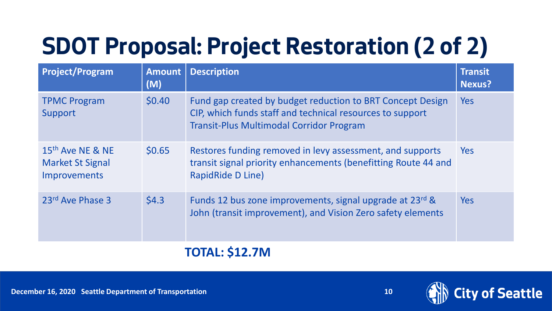## **SDOT Proposal: Project Restoration (2 of 2)**

| <b>Project/Program</b>                                                         | <b>Amount</b><br>(M) | <b>Description</b>                                                                                                                                                         | <b>Transit</b><br><b>Nexus?</b> |
|--------------------------------------------------------------------------------|----------------------|----------------------------------------------------------------------------------------------------------------------------------------------------------------------------|---------------------------------|
| <b>TPMC Program</b><br>Support                                                 | \$0.40               | Fund gap created by budget reduction to BRT Concept Design<br>CIP, which funds staff and technical resources to support<br><b>Transit-Plus Multimodal Corridor Program</b> | <b>Yes</b>                      |
| 15 <sup>th</sup> Ave NE & NE<br><b>Market St Signal</b><br><b>Improvements</b> | \$0.65               | Restores funding removed in levy assessment, and supports<br>transit signal priority enhancements (benefitting Route 44 and<br><b>RapidRide D Line)</b>                    | Yes                             |
| 23rd Ave Phase 3                                                               | \$4.3                | Funds 12 bus zone improvements, signal upgrade at 23rd &<br>John (transit improvement), and Vision Zero safety elements                                                    | <b>Yes</b>                      |

#### **TOTAL: \$12.7M**

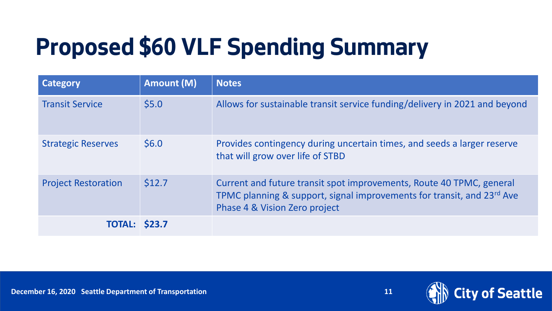## **Proposed \$60 VLF Spending Summary**

| Category                   | Amount (M) | <b>Notes</b>                                                                                                                                                                    |
|----------------------------|------------|---------------------------------------------------------------------------------------------------------------------------------------------------------------------------------|
| <b>Transit Service</b>     | \$5.0\$    | Allows for sustainable transit service funding/delivery in 2021 and beyond                                                                                                      |
| <b>Strategic Reserves</b>  | \$6.0\$    | Provides contingency during uncertain times, and seeds a larger reserve<br>that will grow over life of STBD                                                                     |
| <b>Project Restoration</b> | \$12.7     | Current and future transit spot improvements, Route 40 TPMC, general<br>TPMC planning & support, signal improvements for transit, and 23rd Ave<br>Phase 4 & Vision Zero project |
| <b>TOTAL: \$23.7</b>       |            |                                                                                                                                                                                 |